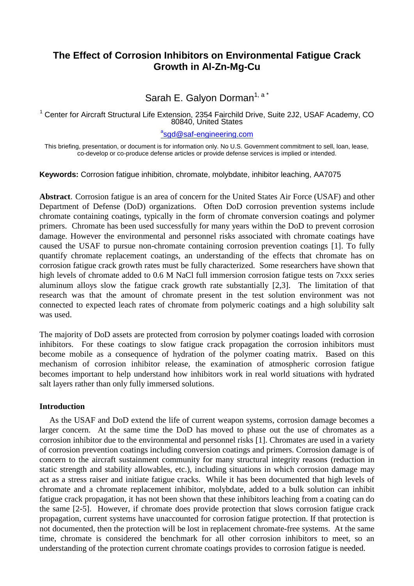# **The Effect of Corrosion Inhibitors on Environmental Fatigue Crack Growth in Al-Zn-Mg-Cu**

# Sarah E. Galyon Dorman<sup>1, a \*</sup>

<sup>1</sup> Center for Aircraft Structural Life Extension, 2354 Fairchild Drive, Suite 2J2, USAF Academy, CO 80840, United States

a [sgd@saf-engineering.com](mailto:asgd@saf-engineering.com)

This briefing, presentation, or document is for information only. No U.S. Government commitment to sell, loan, lease, co-develop or co-produce defense articles or provide defense services is implied or intended.

**Keywords:** Corrosion fatigue inhibition, chromate, molybdate, inhibitor leaching, AA7075

**Abstract**. Corrosion fatigue is an area of concern for the United States Air Force (USAF) and other Department of Defense (DoD) organizations. Often DoD corrosion prevention systems include chromate containing coatings, typically in the form of chromate conversion coatings and polymer primers. Chromate has been used successfully for many years within the DoD to prevent corrosion damage. However the environmental and personnel risks associated with chromate coatings have caused the USAF to pursue non-chromate containing corrosion prevention coatings [1]. To fully quantify chromate replacement coatings, an understanding of the effects that chromate has on corrosion fatigue crack growth rates must be fully characterized. Some researchers have shown that high levels of chromate added to 0.6 M NaCl full immersion corrosion fatigue tests on 7xxx series aluminum alloys slow the fatigue crack growth rate substantially [2,3]. The limitation of that research was that the amount of chromate present in the test solution environment was not connected to expected leach rates of chromate from polymeric coatings and a high solubility salt was used.

The majority of DoD assets are protected from corrosion by polymer coatings loaded with corrosion inhibitors. For these coatings to slow fatigue crack propagation the corrosion inhibitors must become mobile as a consequence of hydration of the polymer coating matrix. Based on this mechanism of corrosion inhibitor release, the examination of atmospheric corrosion fatigue becomes important to help understand how inhibitors work in real world situations with hydrated salt layers rather than only fully immersed solutions.

## **Introduction**

As the USAF and DoD extend the life of current weapon systems, corrosion damage becomes a larger concern. At the same time the DoD has moved to phase out the use of chromates as a corrosion inhibitor due to the environmental and personnel risks [1]. Chromates are used in a variety of corrosion prevention coatings including conversion coatings and primers. Corrosion damage is of concern to the aircraft sustainment community for many structural integrity reasons (reduction in static strength and stability allowables, etc.), including situations in which corrosion damage may act as a stress raiser and initiate fatigue cracks. While it has been documented that high levels of chromate and a chromate replacement inhibitor, molybdate, added to a bulk solution can inhibit fatigue crack propagation, it has not been shown that these inhibitors leaching from a coating can do the same [2-5]. However, if chromate does provide protection that slows corrosion fatigue crack propagation, current systems have unaccounted for corrosion fatigue protection. If that protection is not documented, then the protection will be lost in replacement chromate-free systems. At the same time, chromate is considered the benchmark for all other corrosion inhibitors to meet, so an understanding of the protection current chromate coatings provides to corrosion fatigue is needed.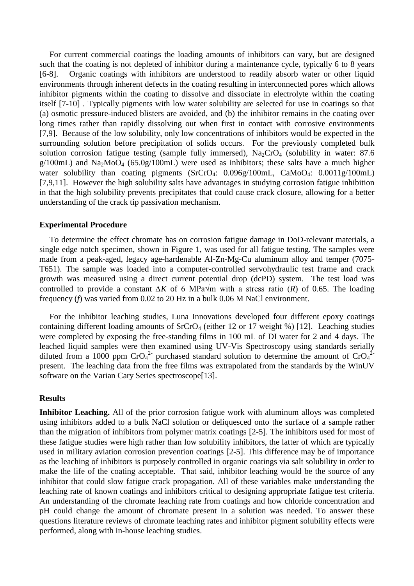For current commercial coatings the loading amounts of inhibitors can vary, but are designed such that the coating is not depleted of inhibitor during a maintenance cycle, typically 6 to 8 years [6-8]. Organic coatings with inhibitors are understood to readily absorb water or other liquid environments through inherent defects in the coating resulting in interconnected pores which allows inhibitor pigments within the coating to dissolve and dissociate in electrolyte within the coating itself [7-10] . Typically pigments with low water solubility are selected for use in coatings so that (a) osmotic pressure-induced blisters are avoided, and (b) the inhibitor remains in the coating over long times rather than rapidly dissolving out when first in contact with corrosive environments [7,9]. Because of the low solubility, only low concentrations of inhibitors would be expected in the surrounding solution before precipitation of solids occurs. For the previously completed bulk solution corrosion fatigue testing (sample fully immersed),  $Na<sub>2</sub>CrO<sub>4</sub>$  (solubility in water: 87.6  $g/100$ mL) and Na<sub>2</sub>MoO<sub>4</sub> (65.0g/100mL) were used as inhibitors; these salts have a much higher water solubility than coating pigments (SrCrO<sub>4</sub>: 0.096g/100mL, CaMoO<sub>4</sub>: 0.0011g/100mL) [7,9,11]. However the high solubility salts have advantages in studying corrosion fatigue inhibition in that the high solubility prevents precipitates that could cause crack closure, allowing for a better understanding of the crack tip passivation mechanism.

### **Experimental Procedure**

To determine the effect chromate has on corrosion fatigue damage in DoD-relevant materials, a single edge notch specimen, shown in Figure 1, was used for all fatigue testing. The samples were made from a peak-aged, legacy age-hardenable Al-Zn-Mg-Cu aluminum alloy and temper (7075- T651). The sample was loaded into a computer-controlled servohydraulic test frame and crack growth was measured using a direct current potential drop (dcPD) system. The test load was controlled to provide a constant *∆K* of 6 MPa√m with a stress ratio (*R*) of 0.65. The loading frequency (*f*) was varied from 0.02 to 20 Hz in a bulk 0.06 M NaCl environment.

For the inhibitor leaching studies, Luna Innovations developed four different epoxy coatings containing different loading amounts of  $SrCrO<sub>4</sub>$  (either 12 or 17 weight %) [12]. Leaching studies were completed by exposing the free-standing films in 100 mL of DI water for 2 and 4 days. The leached liquid samples were then examined using UV-Vis Spectroscopy using standards serially diluted from a 1000 ppm  $CrO<sub>4</sub><sup>2</sup>$  purchased standard solution to determine the amount of  $CrO<sub>4</sub><sup>2</sup>$ present. The leaching data from the free films was extrapolated from the standards by the WinUV software on the Varian Cary Series spectroscope[13].

#### **Results**

**Inhibitor Leaching.** All of the prior corrosion fatigue work with aluminum alloys was completed using inhibitors added to a bulk NaCl solution or deliquesced onto the surface of a sample rather than the migration of inhibitors from polymer matrix coatings [2-5]. The inhibitors used for most of these fatigue studies were high rather than low solubility inhibitors, the latter of which are typically used in military aviation corrosion prevention coatings [2-5]. This difference may be of importance as the leaching of inhibitors is purposely controlled in organic coatings via salt solubility in order to make the life of the coating acceptable. That said, inhibitor leaching would be the source of any inhibitor that could slow fatigue crack propagation. All of these variables make understanding the leaching rate of known coatings and inhibitors critical to designing appropriate fatigue test criteria. An understanding of the chromate leaching rate from coatings and how chloride concentration and pH could change the amount of chromate present in a solution was needed. To answer these questions literature reviews of chromate leaching rates and inhibitor pigment solubility effects were performed, along with in-house leaching studies.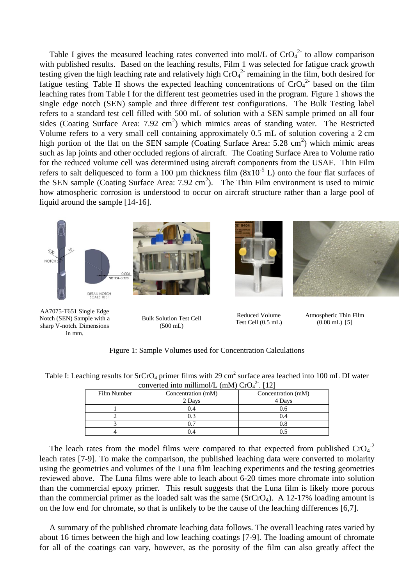[Table I](#page-2-0) gives the measured leaching rates converted into mol/L of  $CrO<sub>4</sub><sup>2</sup>$  to allow comparison with published results. Based on the leaching results, Film 1 was selected for fatigue crack growth testing given the high leaching rate and relatively high  $CrO<sub>4</sub><sup>2</sup>$  remaining in the film, both desired for fatigue testing. [Table II](#page-3-0) shows the expected leaching concentrations of  $CrO<sub>4</sub><sup>2</sup>$  based on the film leaching rates from [Table I](#page-2-0) for the different test geometries used in the program. Figure 1 shows the single edge notch (SEN) sample and three different test configurations. The Bulk Testing label refers to a standard test cell filled with 500 mL of solution with a SEN sample primed on all four sides (Coating Surface Area:  $7.92 \text{ cm}^2$ ) which mimics areas of standing water. The Restricted Volume refers to a very small cell containing approximately 0.5 mL of solution covering a 2 cm high portion of the flat on the SEN sample (Coating Surface Area:  $5.28 \text{ cm}^2$ ) which mimic areas such as lap joints and other occluded regions of aircraft. The Coating Surface Area to Volume ratio for the reduced volume cell was determined using aircraft components from the USAF. Thin Film refers to salt deliquesced to form a 100  $\mu$ m thickness film  $(8x10^{-5} \text{ L})$  onto the four flat surfaces of the SEN sample (Coating Surface Area:  $7.92 \text{ cm}^2$ ). The Thin Film environment is used to mimic how atmospheric corrosion is understood to occur on aircraft structure rather than a large pool of liquid around the sample [14-16].



Figure 1: Sample Volumes used for Concentration Calculations

<span id="page-2-0"></span>

| Table I: Leaching results for SrCrO <sub>4</sub> primer films with 29 cm <sup>2</sup> surface area leached into 100 mL DI water |  |
|---------------------------------------------------------------------------------------------------------------------------------|--|
| converted into millimol/L (mM) $CrO42$ . [12]                                                                                   |  |

| .           |                    |                    |  |  |  |  |
|-------------|--------------------|--------------------|--|--|--|--|
| Film Number | Concentration (mM) | Concentration (mM) |  |  |  |  |
|             | 2 Days             | 4 Days             |  |  |  |  |
|             | 0.4                | 0.6                |  |  |  |  |
|             |                    | 0.4                |  |  |  |  |
|             |                    |                    |  |  |  |  |
|             |                    |                    |  |  |  |  |

The leach rates from the model films were compared to that expected from published  $CrO<sub>4</sub>$ <sup>-2</sup> leach rates [7-9]. To make the comparison, the published leaching data were converted to molarity using the geometries and volumes of the Luna film leaching experiments and the testing geometries reviewed above. The Luna films were able to leach about 6-20 times more chromate into solution than the commercial epoxy primer. This result suggests that the Luna film is likely more porous than the commercial primer as the loaded salt was the same  $(SrCrO<sub>4</sub>)$ . A 12-17% loading amount is on the low end for chromate, so that is unlikely to be the cause of the leaching differences [6,7].

A summary of the published chromate leaching data follows. The overall leaching rates varied by about 16 times between the high and low leaching coatings [7-9]. The loading amount of chromate for all of the coatings can vary, however, as the porosity of the film can also greatly affect the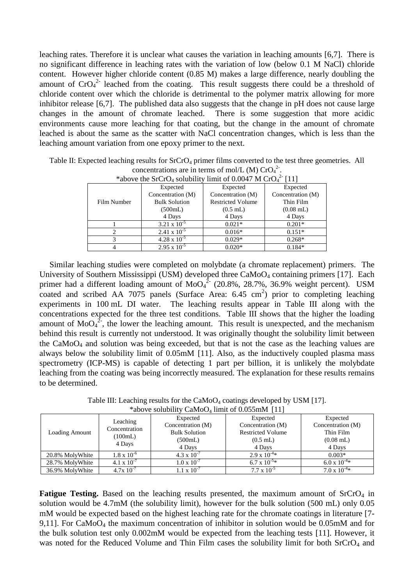leaching rates. Therefore it is unclear what causes the variation in leaching amounts [6,7]. There is no significant difference in leaching rates with the variation of low (below 0.1 M NaCl) chloride content. However higher chloride content (0.85 M) makes a large difference, nearly doubling the amount of  $CrO<sub>4</sub><sup>2</sup>$  leached from the coating. This result suggests there could be a threshold of chloride content over which the chloride is detrimental to the polymer matrix allowing for more inhibitor release [6,7]. The published data also suggests that the change in pH does not cause large changes in the amount of chromate leached. There is some suggestion that more acidic environments cause more leaching for that coating, but the change in the amount of chromate leached is about the same as the scatter with NaCl concentration changes, which is less than the leaching amount variation from one epoxy primer to the next.

\*above the SrCrO<sub>4</sub> solubility limit of  $0.0047$  M CrO<sub>4</sub><sup>2</sup> [11] Film Number Expected Concentration (M) Bulk Solution (500mL) 4 Days Expected Concentration (M) Restricted Volume (0.5 mL) 4 Days Expected Concentration (M) Thin Film (0.08 mL) 4 Days 1  $3.21 \times 10^{-5}$ 0.021\* 0.201\* 2 2.41 x  $10^{-5}$ 0.016\* 0.151\* 3  $4.28 \times 10^{-5}$ 0.029\* 0.268\* 4 2.95 x 10<sup>-5</sup> 0.020\* 0.184\*

<span id="page-3-0"></span>Table II: Expected leaching results for  $SrCrO<sub>4</sub>$  primer films converted to the test three geometries. All concentrations are in terms of mol/L (M)  $CrO<sub>4</sub><sup>2</sup>$ .

Similar leaching studies were completed on molybdate (a chromate replacement) primers. The University of Southern Mississippi (USM) developed three CaMoO<sub>4</sub> containing primers [17]. Each primer had a different loading amount of  $MoO<sub>4</sub><sup>2</sup>$  (20.8%, 28.7%, 36.9% weight percent). USM coated and scribed AA 7075 panels (Surface Area:  $6.45 \text{ cm}^2$ ) prior to completing leaching experiments in 100 mL DI water. The leaching results appear in [Table III](#page-3-1) along with the concentrations expected for the three test conditions. [Table III](#page-3-1) shows that the higher the loading amount of  $\text{MoO}_4^2$ , the lower the leaching amount. This result is unexpected, and the mechanism behind this result is currently not understood. It was originally thought the solubility limit between the CaMoO<sup>4</sup> and solution was being exceeded, but that is not the case as the leaching values are always below the solubility limit of 0.05mM [11]. Also, as the inductively coupled plasma mass spectrometry (ICP-MS) is capable of detecting 1 part per billion, it is unlikely the molybdate leaching from the coating was being incorrectly measured. The explanation for these results remains to be determined.

<span id="page-3-1"></span>

| *above solubility CaMoO <sub>4</sub> limit of 0.055mM [11] |                                    |                      |                          |                        |  |
|------------------------------------------------------------|------------------------------------|----------------------|--------------------------|------------------------|--|
|                                                            | Leaching                           | Expected             | Expected                 | Expected               |  |
| <b>Loading Amount</b>                                      | Concentration<br>(100mL)<br>4 Days | Concentration (M)    | Concentration (M)        | Concentration (M)      |  |
|                                                            |                                    | <b>Bulk Solution</b> | <b>Restricted Volume</b> | Thin Film              |  |
|                                                            |                                    | (500mL)              | $(0.5$ mL)               | $(0.08$ mL)            |  |
|                                                            |                                    | 4 Days               | 4 Days                   | 4 Days                 |  |
| 20.8% MolyWhite                                            | $1.8 \times 10^{-6}$               | $4.3 \times 10^{-7}$ | $2.9 \times 10^{-4}$ *   | $0.003*$               |  |
| 28.7% MolyWhite                                            | 4.1 x $10^{-7}$                    | $1.0 \times 10^{-7}$ | $6.7 \times 10^{-5*}$    | $6.0 \times 10^{-4}$ * |  |
| 36.9% MolyWhite                                            | $4.7x10^{-7}$                      | $1.1 \times 10^{-7}$ | $7.7 \times 10^{-5}$     | $7.0 \times 10^{-4}$ * |  |

Table III: Leaching results for the CaMoO<sub>4</sub> coatings developed by USM [17].

**Fatigue Testing.** Based on the leaching results presented, the maximum amount of  $SrCrO<sub>4</sub>$  in solution would be 4.7mM (the solubility limit), however for the bulk solution (500 mL) only 0.05 mM would be expected based on the highest leaching rate for the chromate coatings in literature [7- 9,11]. For CaMoO<sub>4</sub> the maximum concentration of inhibitor in solution would be  $0.05 \text{m}$ M and for the bulk solution test only 0.002mM would be expected from the leaching tests [11]. However, it was noted for the Reduced Volume and Thin Film cases the solubility limit for both SrCrO<sub>4</sub> and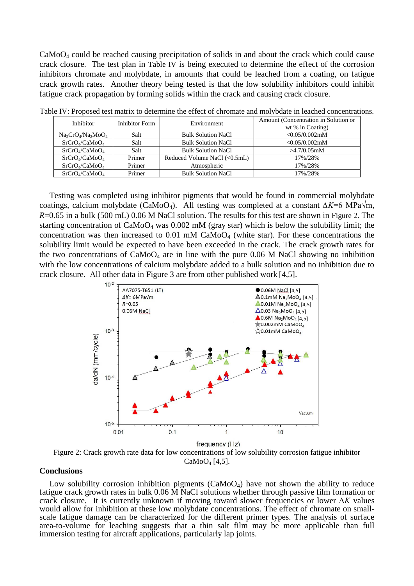CaMoO<sup>4</sup> could be reached causing precipitation of solids in and about the crack which could cause crack closure. The test plan in [Table IV](#page-4-0) is being executed to determine the effect of the corrosion inhibitors chromate and molybdate, in amounts that could be leached from a coating, on fatigue crack growth rates. Another theory being tested is that the low solubility inhibitors could inhibit fatigue crack propagation by forming solids within the crack and causing crack closure.

| Inhibitor                              | Inhibitor Form | Environment                     | Amount (Concentration in Solution or<br>wt % in Coating) |
|----------------------------------------|----------------|---------------------------------|----------------------------------------------------------|
| $Na_2CrO_4/Na_2MoO_4$                  | Salt           | <b>Bulk Solution NaCl</b>       | $< 0.05/0.002$ mM                                        |
| SrCrO <sub>4</sub> /CaMoO <sub>4</sub> | Salt           | <b>Bulk Solution NaCl</b>       | $< 0.05/0.002$ mM                                        |
| SrCrO <sub>4</sub> /CaMoO <sub>4</sub> | Salt           | <b>Bulk Solution NaCl</b>       | $>4.7/0.05$ mM                                           |
| SrCrO <sub>4</sub> /CaMoO <sub>4</sub> | Primer         | Reduced Volume NaCl $(<0.5$ mL) | 17%/28%                                                  |
| SrCrO <sub>4</sub> /CaMoO <sub>4</sub> | Primer         | Atmospheric                     | 17%/28%                                                  |
| SrCrO <sub>4</sub> /CaMoO <sub>4</sub> | Primer         | <b>Bulk Solution NaCl</b>       | 17%/28%                                                  |

<span id="page-4-0"></span>Table IV: Proposed test matrix to determine the effect of chromate and molybdate in leached concentrations.

Testing was completed using inhibitor pigments that would be found in commercial molybdate coatings, calcium molybdate (CaMoO4). All testing was completed at a constant *∆K*=6 MPa√m, *R*=0.65 in a bulk (500 mL) 0.06 M NaCl solution. The results for this test are shown in [Figure 2](#page-4-1). The starting concentration of  $CaMoO<sub>4</sub>$  was 0.002 mM (gray star) which is below the solubility limit; the concentration was then increased to  $0.01 \text{ mM }$  CaMoO<sub>4</sub> (white star). For these concentrations the solubility limit would be expected to have been exceeded in the crack. The crack growth rates for the two concentrations of  $CaMoO<sub>4</sub>$  are in line with the pure 0.06 M NaCl showing no inhibition with the low concentrations of calcium molybdate added to a bulk solution and no inhibition due to crack closure. All other data in Figure 3 are from other published work [4,5].



<span id="page-4-1"></span>Figure 2: Crack growth rate data for low concentrations of low solubility corrosion fatigue inhibitor  $CaMoO<sub>4</sub>$  [4,5].

### **Conclusions**

Low solubility corrosion inhibition pigments  $(CaMoO<sub>4</sub>)$  have not shown the ability to reduce fatigue crack growth rates in bulk 0.06 M NaCl solutions whether through passive film formation or crack closure. It is currently unknown if moving toward slower frequencies or lower *∆K* values would allow for inhibition at these low molybdate concentrations. The effect of chromate on smallscale fatigue damage can be characterized for the different primer types. The analysis of surface area-to-volume for leaching suggests that a thin salt film may be more applicable than full immersion testing for aircraft applications, particularly lap joints.